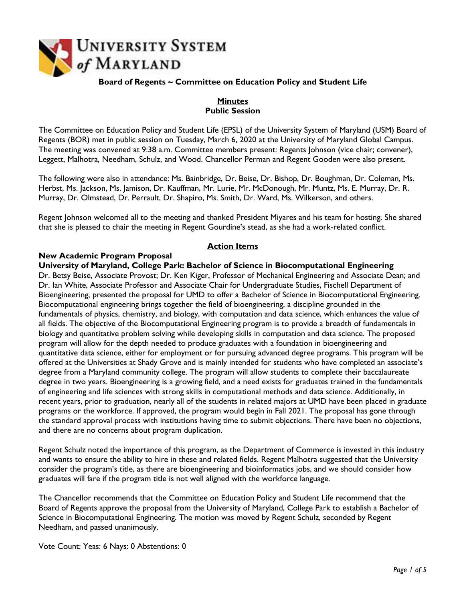

## **Board of Regents ~ Committee on Education Policy and Student Life**

# **Minutes Public Session**

The Committee on Education Policy and Student Life (EPSL) of the University System of Maryland (USM) Board of Regents (BOR) met in public session on Tuesday, March 6, 2020 at the University of Maryland Global Campus. The meeting was convened at 9:38 a.m. Committee members present: Regents Johnson (vice chair; convener), Leggett, Malhotra, Needham, Schulz, and Wood. Chancellor Perman and Regent Gooden were also present.

The following were also in attendance: Ms. Bainbridge, Dr. Beise, Dr. Bishop, Dr. Boughman, Dr. Coleman, Ms. Herbst, Ms. Jackson, Ms. Jamison, Dr. Kauffman, Mr. Lurie, Mr. McDonough, Mr. Muntz, Ms. E. Murray, Dr. R. Murray, Dr. Olmstead, Dr. Perrault, Dr. Shapiro, Ms. Smith, Dr. Ward, Ms. Wilkerson, and others.

Regent Johnson welcomed all to the meeting and thanked President Miyares and his team for hosting. She shared that she is pleased to chair the meeting in Regent Gourdine's stead, as she had a work-related conflict.

# **Action Items**

#### **New Academic Program Proposal**

**University of Maryland, College Park: Bachelor of Science in Biocomputational Engineering** Dr. Betsy Beise, Associate Provost; Dr. Ken Kiger, Professor of Mechanical Engineering and Associate Dean; and Dr. Ian White, Associate Professor and Associate Chair for Undergraduate Studies, Fischell Department of Bioengineering, presented the proposal for UMD to offer a Bachelor of Science in Biocomputational Engineering. Biocomputational engineering brings together the field of bioengineering, a discipline grounded in the fundamentals of physics, chemistry, and biology, with computation and data science, which enhances the value of all fields. The objective of the Biocomputational Engineering program is to provide a breadth of fundamentals in biology and quantitative problem solving while developing skills in computation and data science. The proposed program will allow for the depth needed to produce graduates with a foundation in bioengineering and quantitative data science, either for employment or for pursuing advanced degree programs. This program will be offered at the Universities at Shady Grove and is mainly intended for students who have completed an associate's degree from a Maryland community college. The program will allow students to complete their baccalaureate degree in two years. Bioengineering is a growing field, and a need exists for graduates trained in the fundamentals of engineering and life sciences with strong skills in computational methods and data science. Additionally, in recent years, prior to graduation, nearly all of the students in related majors at UMD have been placed in graduate programs or the workforce. If approved, the program would begin in Fall 2021. The proposal has gone through the standard approval process with institutions having time to submit objections. There have been no objections, and there are no concerns about program duplication.

Regent Schulz noted the importance of this program, as the Department of Commerce is invested in this industry and wants to ensure the ability to hire in these and related fields. Regent Malhotra suggested that the University consider the program's title, as there are bioengineering and bioinformatics jobs, and we should consider how graduates will fare if the program title is not well aligned with the workforce language.

The Chancellor recommends that the Committee on Education Policy and Student Life recommend that the Board of Regents approve the proposal from the University of Maryland, College Park to establish a Bachelor of Science in Biocomputational Engineering. The motion was moved by Regent Schulz, seconded by Regent Needham, and passed unanimously.

Vote Count: Yeas: 6 Nays: 0 Abstentions: 0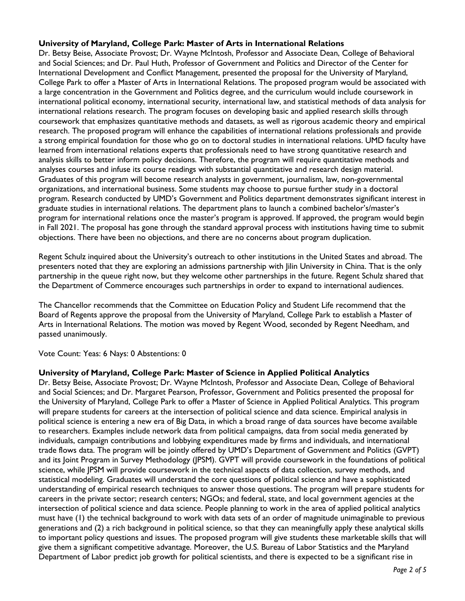## **University of Maryland, College Park: Master of Arts in International Relations**

Dr. Betsy Beise, Associate Provost; Dr. Wayne McIntosh, Professor and Associate Dean, College of Behavioral and Social Sciences; and Dr. Paul Huth, Professor of Government and Politics and Director of the Center for International Development and Conflict Management, presented the proposal for the University of Maryland, College Park to offer a Master of Arts in International Relations. The proposed program would be associated with a large concentration in the Government and Politics degree, and the curriculum would include coursework in international political economy, international security, international law, and statistical methods of data analysis for international relations research. The program focuses on developing basic and applied research skills through coursework that emphasizes quantitative methods and datasets, as well as rigorous academic theory and empirical research. The proposed program will enhance the capabilities of international relations professionals and provide a strong empirical foundation for those who go on to doctoral studies in international relations. UMD faculty have learned from international relations experts that professionals need to have strong quantitative research and analysis skills to better inform policy decisions. Therefore, the program will require quantitative methods and analyses courses and infuse its course readings with substantial quantitative and research design material. Graduates of this program will become research analysts in government, journalism, law, non-governmental organizations, and international business. Some students may choose to pursue further study in a doctoral program. Research conducted by UMD's Government and Politics department demonstrates significant interest in graduate studies in international relations. The department plans to launch a combined bachelor's/master's program for international relations once the master's program is approved. If approved, the program would begin in Fall 2021. The proposal has gone through the standard approval process with institutions having time to submit objections. There have been no objections, and there are no concerns about program duplication.

Regent Schulz inquired about the University's outreach to other institutions in the United States and abroad. The presenters noted that they are exploring an admissions partnership with Jilin University in China. That is the only partnership in the queue right now, but they welcome other partnerships in the future. Regent Schulz shared that the Department of Commerce encourages such partnerships in order to expand to international audiences.

The Chancellor recommends that the Committee on Education Policy and Student Life recommend that the Board of Regents approve the proposal from the University of Maryland, College Park to establish a Master of Arts in International Relations. The motion was moved by Regent Wood, seconded by Regent Needham, and passed unanimously.

Vote Count: Yeas: 6 Nays: 0 Abstentions: 0

#### **University of Maryland, College Park: Master of Science in Applied Political Analytics**

Dr. Betsy Beise, Associate Provost; Dr. Wayne McIntosh, Professor and Associate Dean, College of Behavioral and Social Sciences; and Dr. Margaret Pearson, Professor, Government and Politics presented the proposal for the University of Maryland, College Park to offer a Master of Science in Applied Political Analytics. This program will prepare students for careers at the intersection of political science and data science. Empirical analysis in political science is entering a new era of Big Data, in which a broad range of data sources have become available to researchers. Examples include network data from political campaigns, data from social media generated by individuals, campaign contributions and lobbying expenditures made by firms and individuals, and international trade flows data. The program will be jointly offered by UMD's Department of Government and Politics (GVPT) and its Joint Program in Survey Methodology (JPSM). GVPT will provide coursework in the foundations of political science, while JPSM will provide coursework in the technical aspects of data collection, survey methods, and statistical modeling. Graduates will understand the core questions of political science and have a sophisticated understanding of empirical research techniques to answer those questions. The program will prepare students for careers in the private sector; research centers; NGOs; and federal, state, and local government agencies at the intersection of political science and data science. People planning to work in the area of applied political analytics must have (1) the technical background to work with data sets of an order of magnitude unimaginable to previous generations and (2) a rich background in political science, so that they can meaningfully apply these analytical skills to important policy questions and issues. The proposed program will give students these marketable skills that will give them a significant competitive advantage. Moreover, the U.S. Bureau of Labor Statistics and the Maryland Department of Labor predict job growth for political scientists, and there is expected to be a significant rise in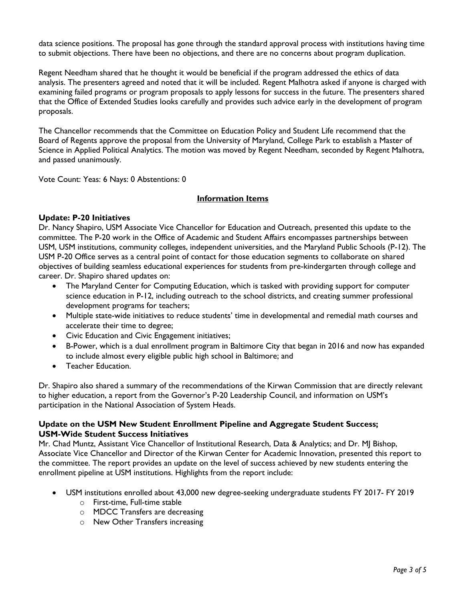data science positions. The proposal has gone through the standard approval process with institutions having time to submit objections. There have been no objections, and there are no concerns about program duplication.

Regent Needham shared that he thought it would be beneficial if the program addressed the ethics of data analysis. The presenters agreed and noted that it will be included. Regent Malhotra asked if anyone is charged with examining failed programs or program proposals to apply lessons for success in the future. The presenters shared that the Office of Extended Studies looks carefully and provides such advice early in the development of program proposals.

The Chancellor recommends that the Committee on Education Policy and Student Life recommend that the Board of Regents approve the proposal from the University of Maryland, College Park to establish a Master of Science in Applied Political Analytics. The motion was moved by Regent Needham, seconded by Regent Malhotra, and passed unanimously.

Vote Count: Yeas: 6 Nays: 0 Abstentions: 0

# **Information Items**

## **Update: P-20 Initiatives**

Dr. Nancy Shapiro, USM Associate Vice Chancellor for Education and Outreach, presented this update to the committee. The P-20 work in the Office of Academic and Student Affairs encompasses partnerships between USM, USM institutions, community colleges, independent universities, and the Maryland Public Schools (P-12). The USM P-20 Office serves as a central point of contact for those education segments to collaborate on shared objectives of building seamless educational experiences for students from pre-kindergarten through college and career. Dr. Shapiro shared updates on:

- The Maryland Center for Computing Education, which is tasked with providing support for computer science education in P-12, including outreach to the school districts, and creating summer professional development programs for teachers;
- Multiple state-wide initiatives to reduce students' time in developmental and remedial math courses and accelerate their time to degree;
- Civic Education and Civic Engagement initiatives;
- B-Power, which is a dual enrollment program in Baltimore City that began in 2016 and now has expanded to include almost every eligible public high school in Baltimore; and
- Teacher Education.

Dr. Shapiro also shared a summary of the recommendations of the Kirwan Commission that are directly relevant to higher education, a report from the Governor's P-20 Leadership Council, and information on USM's participation in the National Association of System Heads.

# **Update on the USM New Student Enrollment Pipeline and Aggregate Student Success; USM-Wide Student Success Initiatives**

Mr. Chad Muntz, Assistant Vice Chancellor of Institutional Research, Data & Analytics; and Dr. MJ Bishop, Associate Vice Chancellor and Director of the Kirwan Center for Academic Innovation, presented this report to the committee. The report provides an update on the level of success achieved by new students entering the enrollment pipeline at USM institutions. Highlights from the report include:

- USM institutions enrolled about 43,000 new degree-seeking undergraduate students FY 2017- FY 2019
	- o First-time, Full-time stable
	- o MDCC Transfers are decreasing
	- o New Other Transfers increasing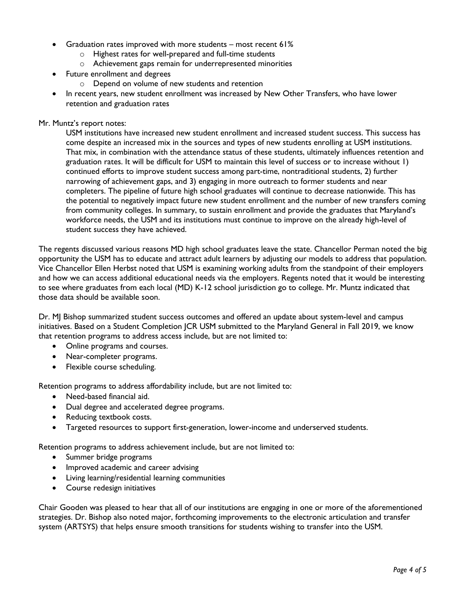- Graduation rates improved with more students most recent 61%
	- o Highest rates for well-prepared and full-time students
	- o Achievement gaps remain for underrepresented minorities
- Future enrollment and degrees
	- o Depend on volume of new students and retention
- In recent years, new student enrollment was increased by New Other Transfers, who have lower retention and graduation rates

#### Mr. Muntz's report notes:

USM institutions have increased new student enrollment and increased student success. This success has come despite an increased mix in the sources and types of new students enrolling at USM institutions. That mix, in combination with the attendance status of these students, ultimately influences retention and graduation rates. It will be difficult for USM to maintain this level of success or to increase without 1) continued efforts to improve student success among part-time, nontraditional students, 2) further narrowing of achievement gaps, and 3) engaging in more outreach to former students and near completers. The pipeline of future high school graduates will continue to decrease nationwide. This has the potential to negatively impact future new student enrollment and the number of new transfers coming from community colleges. In summary, to sustain enrollment and provide the graduates that Maryland's workforce needs, the USM and its institutions must continue to improve on the already high-level of student success they have achieved.

The regents discussed various reasons MD high school graduates leave the state. Chancellor Perman noted the big opportunity the USM has to educate and attract adult learners by adjusting our models to address that population. Vice Chancellor Ellen Herbst noted that USM is examining working adults from the standpoint of their employers and how we can access additional educational needs via the employers. Regents noted that it would be interesting to see where graduates from each local (MD) K-12 school jurisdiction go to college. Mr. Muntz indicated that those data should be available soon.

Dr. MJ Bishop summarized student success outcomes and offered an update about system-level and campus initiatives. Based on a Student Completion JCR USM submitted to the Maryland General in Fall 2019, we know that retention programs to address access include, but are not limited to:

- Online programs and courses.
- Near-completer programs.
- Flexible course scheduling.

Retention programs to address affordability include, but are not limited to:

- Need-based financial aid.
- Dual degree and accelerated degree programs.
- Reducing textbook costs.
- Targeted resources to support first-generation, lower-income and underserved students.

Retention programs to address achievement include, but are not limited to:

- Summer bridge programs
- Improved academic and career advising
- Living learning/residential learning communities
- Course redesign initiatives

Chair Gooden was pleased to hear that all of our institutions are engaging in one or more of the aforementioned strategies. Dr. Bishop also noted major, forthcoming improvements to the electronic articulation and transfer system (ARTSYS) that helps ensure smooth transitions for students wishing to transfer into the USM.